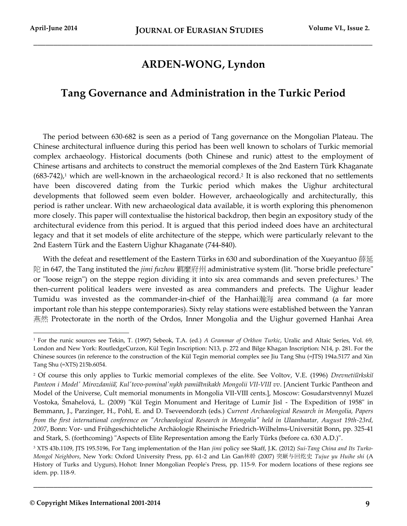l

## **ARDEN-WONG, Lyndon**

\_\_\_\_\_\_\_\_\_\_\_\_\_\_\_\_\_\_\_\_\_\_\_\_\_\_\_\_\_\_\_\_\_\_\_\_\_\_\_\_\_\_\_\_\_\_\_\_\_\_\_\_\_\_\_\_\_\_\_\_\_\_\_\_\_\_\_\_\_\_\_\_\_\_\_\_\_\_\_\_\_\_\_\_\_

## **Tang Governance and Administration in the Turkic Period**

The period between 630-682 is seen as a period of Tang governance on the Mongolian Plateau. The Chinese architectural influence during this period has been well known to scholars of Turkic memorial complex archaeology. Historical documents (both Chinese and runic) attest to the employment of Chinese artisans and architects to construct the memorial complexes of the 2nd Eastern Türk Khaganate  $(683-742)$ ,<sup>1</sup> which are well-known in the archaeological record.<sup>2</sup> It is also reckoned that no settlements have been discovered dating from the Turkic period which makes the Uighur architectural developments that followed seem even bolder. However, archaeologically and architecturally, this period is rather unclear. With new archaeological data available, it is worth exploring this phenomenon more closely. This paper will contextualise the historical backdrop, then begin an expository study of the architectural evidence from this period. It is argued that this period indeed does have an architectural legacy and that it set models of elite architecture of the steppe, which were particularly relevant to the 2nd Eastern Türk and the Eastern Uighur Khaganate (744-840).

With the defeat and resettlement of the Eastern Türks in 630 and subordination of the Xueyantuo 薛延 陀 in 647, the Tang instituted the *jimi fuzhou* 羁縻府州 administrative system (lit. "horse bridle prefecture" or "loose reign") on the steppe region dividing it into six area commands and seven prefectures.<sup>3</sup> The then-current political leaders were invested as area commanders and prefects. The Uighur leader Tumidu was invested as the commander-in-chief of the Hanhai瀚海 area command (a far more important role than his steppe contemporaries). Sixty relay stations were established between the Yanran 燕然 Protectorate in the north of the Ordos, Inner Mongolia and the Uighur governed Hanhai Area

<sup>1</sup> For the runic sources see Tekin, T. (1997) Sebeok, T.A. (ed.) *A Grammar of Orkhon Turkic*, Uralic and Altaic Series, Vol. 69, London and New York: RoutledgeCurzon, Kül Tegin Inscription: N13, p. 272 and Bilge Khagan Inscription: N14, p. 281. For the Chinese sources (in reference to the construction of the Kül Tegin memorial complex see Jiu Tang Shu (=JTS) 194a.5177 and Xin Tang Shu (=XTS) 215b.6054.

<sup>&</sup>lt;sup>2</sup> Of course this only applies to Turkic memorial complexes of the elite. See Voĭtov, V.E. (1996) *Drevnetiūrkskii Panteon i Modelʹ Mirozdanii a, Kulʹtovo-pominalʹnykh pami atnikakh Mongolii VII-VIII vv*. [Ancient Turkic Pantheon and Model of the Universe, Cult memorial monuments in Mongolia VII-VIII cents.], Moscow: Gosudarstvennyĭ Muzeĭ Vostoka, Šmahelová, L. (2009) "Kül Tegin Monument and Heritage of Lumír Jisl - The Expedition of 1958" in Bemmann, J., Parzinger, H., Pohl, E. and D. Tseveendorzh (eds.) *Current Archaeological Research in Mongolia, Papers from the first international conference on "Archaeological Research in Mongolia" held in Ulaanbaatar, August 19th-23rd, 2007*, Bonn: Vor- und Frühgeschichteliche Archäologie Rheinische Friedrich-Wilhelms-Universität Bonn, pp. 325-41 and Stark, S. (forthcoming) "Aspects of Elite Representation among the Early Türks (before ca. 630 A.D.)".

<sup>3</sup> XTS 43b.1109, JTS 195.5196, For Tang implementation of the Han *jimi* policy see Skaff, J.K. (2012) *Sui-Tang China and Its Turko-Mongol Neighbors*, New York: Oxford University Press, pp. 61-2 and Lin Gan林幹 (2007) 突厥与回纥史 *Tujue yu Huihe shi* (A History of Turks and Uygurs), Hohot: Inner Mongolian People's Press, pp. 115-9. For modern locations of these regions see idem. pp. 118-9.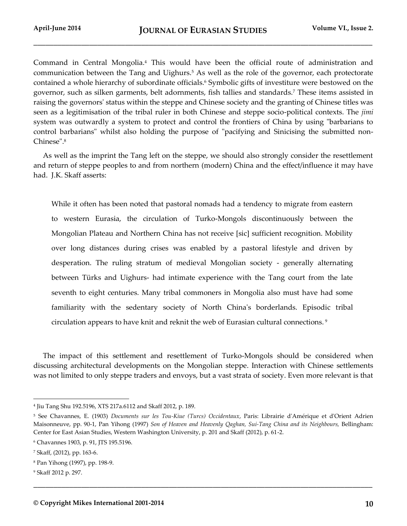Command in Central Mongolia.<sup>4</sup> This would have been the official route of administration and communication between the Tang and Uighurs.<sup>5</sup> As well as the role of the governor, each protectorate contained a whole hierarchy of subordinate officials.<sup>6</sup> Symbolic gifts of investiture were bestowed on the governor, such as silken garments, belt adornments, fish tallies and standards.<sup>7</sup> These items assisted in raising the governors' status within the steppe and Chinese society and the granting of Chinese titles was seen as a legitimisation of the tribal ruler in both Chinese and steppe socio-political contexts. The *jimi* system was outwardly a system to protect and control the frontiers of China by using "barbarians to control barbarians" whilst also holding the purpose of "pacifying and Sinicising the submitted non-Chinese".<sup>8</sup>

As well as the imprint the Tang left on the steppe, we should also strongly consider the resettlement and return of steppe peoples to and from northern (modern) China and the effect/influence it may have had. J.K. Skaff asserts:

While it often has been noted that pastoral nomads had a tendency to migrate from eastern to western Eurasia, the circulation of Turko-Mongols discontinuously between the Mongolian Plateau and Northern China has not receive [sic] sufficient recognition. Mobility over long distances during crises was enabled by a pastoral lifestyle and driven by desperation. The ruling stratum of medieval Mongolian society - generally alternating between Türks and Uighurs- had intimate experience with the Tang court from the late seventh to eight centuries. Many tribal commoners in Mongolia also must have had some familiarity with the sedentary society of North China's borderlands. Episodic tribal circulation appears to have knit and reknit the web of Eurasian cultural connections. <sup>9</sup>

The impact of this settlement and resettlement of Turko-Mongols should be considered when discussing architectural developments on the Mongolian steppe. Interaction with Chinese settlements was not limited to only steppe traders and envoys, but a vast strata of society. Even more relevant is that

**\_\_\_\_\_\_\_\_\_\_\_\_\_\_\_\_\_\_\_\_\_\_\_\_\_\_\_\_\_\_\_\_\_\_\_\_\_\_\_\_\_\_\_\_\_\_\_\_\_\_\_\_\_\_\_\_\_\_\_\_\_\_\_\_\_\_\_\_\_\_\_\_\_\_\_\_\_\_\_\_\_\_\_\_\_**

<sup>4</sup> Jiu Tang Shu 192.5196, XTS 217a.6112 and Skaff 2012, p. 189.

<sup>5</sup> See Chavannes, E. (1903) *Documents sur les Tou-Kiue (Turcs) Occidentaux*, Paris: Librairie d'Amérique et d'Orient Adrien Maisonneuve, pp. 90-1, Pan Yihong (1997) Son of Heaven and Heavenly Qaghan, Sui-Tang China and its Neighbours, Bellingham: Center for East Asian Studies, Western Washington University, p. 201 and Skaff (2012), p. 61-2.

<sup>6</sup> Chavannes 1903, p. 91, JTS 195.5196.

<sup>7</sup> Skaff, (2012), pp. 163-6.

<sup>8</sup> Pan Yihong (1997), pp. 198-9.

<sup>9</sup> Skaff 2012 p. 297.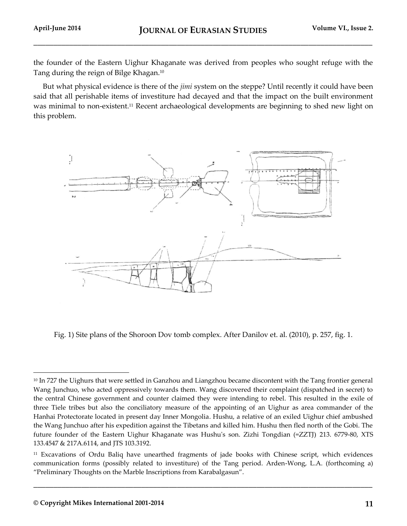the founder of the Eastern Uighur Khaganate was derived from peoples who sought refuge with the Tang during the reign of Bilge Khagan.<sup>10</sup>

But what physical evidence is there of the *jimi* system on the steppe? Until recently it could have been said that all perishable items of investiture had decayed and that the impact on the built environment was minimal to non-existent.<sup>11</sup> Recent archaeological developments are beginning to shed new light on this problem.



Fig. 1) Site plans of the Shoroon Dov tomb complex. After Danilov et. al. (2010), p. 257, fig. 1.

**\_\_\_\_\_\_\_\_\_\_\_\_\_\_\_\_\_\_\_\_\_\_\_\_\_\_\_\_\_\_\_\_\_\_\_\_\_\_\_\_\_\_\_\_\_\_\_\_\_\_\_\_\_\_\_\_\_\_\_\_\_\_\_\_\_\_\_\_\_\_\_\_\_\_\_\_\_\_\_\_\_\_\_\_\_**

<sup>&</sup>lt;sup>10</sup> In 727 the Uighurs that were settled in Ganzhou and Liangzhou became discontent with the Tang frontier general Wang Junchuo, who acted oppressively towards them. Wang discovered their complaint (dispatched in secret) to the central Chinese government and counter claimed they were intending to rebel. This resulted in the exile of three Tiele tribes but also the conciliatory measure of the appointing of an Uighur as area commander of the Hanhai Protectorate located in present day Inner Mongolia. Hushu, a relative of an exiled Uighur chief ambushed the Wang Junchuo after his expedition against the Tibetans and killed him. Hushu then fled north of the Gobi. The future founder of the Eastern Uighur Khaganate was Hushu's son. Zizhi Tongdian (=ZZTJ) 213. 6779-80, XTS 133.4547 & 217A.6114, and JTS 103.3192.

<sup>11</sup> Excavations of Ordu Baliq have unearthed fragments of jade books with Chinese script, which evidences communication forms (possibly related to investiture) of the Tang period. Arden-Wong, L.A. (forthcoming a) "Preliminary Thoughts on the Marble Inscriptions from Karabalgasun".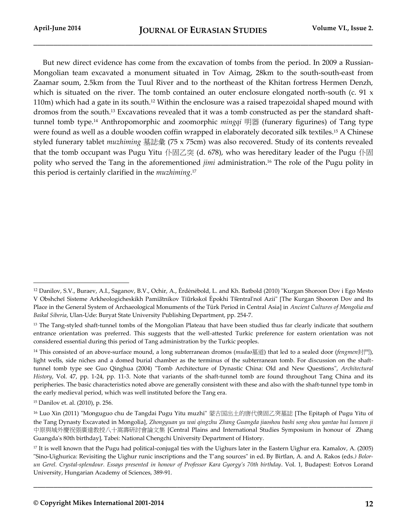But new direct evidence has come from the excavation of tombs from the period. In 2009 a Russian-Mongolian team excavated a monument situated in Tov Aimag, 28km to the south-south-east from Zaamar soum, 2.5km from the Tuul River and to the northeast of the Khitan fortress Hermen Denzh, which is situated on the river. The tomb contained an outer enclosure elongated north-south (c. 91 x 110m) which had a gate in its south.<sup>12</sup> Within the enclosure was a raised trapezoidal shaped mound with dromos from the south.<sup>13</sup> Excavations revealed that it was a tomb constructed as per the standard shafttunnel tomb type.<sup>14</sup> Anthropomorphic and zoomorphic *mingqi* 明器 (funerary figurines) of Tang type were found as well as a double wooden coffin wrapped in elaborately decorated silk textiles.<sup>15</sup> A Chinese styled funerary tablet *muzhiming* 墓誌彙 (75 x 75cm) was also recovered. Study of its contents revealed that the tomb occupant was Pugu Yitu 仆固乙突 (d. 678), who was hereditary leader of the Pugu 仆固 polity who served the Tang in the aforementioned *jimi* administration.<sup>16</sup> The role of the Pugu polity in this period is certainly clarified in the *muzhiming*. 17

l

<sup>12</sup> Danilov, S.V., Buraev, А.I., Saganov, B.V., Ochir, А., Ėrdėnėbold, L. and Kh. Batbold (2010) "Kurgan Shoroon Dov i Ego Mesto V Obshcheĭ Sisteme Arkheologicheskikh Pamiatnikov Tiūrkskoĭ Ėpokhi Tsentral'noĭ Azii" [The Kurgan Shooron Dov and Its Place in the General System of Archaeological Monuments of the Türk Period in Central Asia] in *Ancient Cultures of Mongolia and Baikal Siberia*, Ulan-Ude: Buryat State University Publishing Department, pp. 254-7.

<sup>&</sup>lt;sup>13</sup> The Tang-styled shaft-tunnel tombs of the Mongolian Plateau that have been studied thus far clearly indicate that southern entrance orientation was preferred. This suggests that the well-attested Turkic preference for eastern orientation was not considered essential during this period of Tang administration by the Turkic peoples.

<sup>14</sup> This consisted of an above-surface mound, a long subterranean dromos (*mudao*墓道) that led to a sealed door (*fengmen*封門), light wells, side niches and a domed burial chamber as the terminus of the subterranean tomb. For discussion on the shafttunnel tomb type see Guo Qinghua (2004) "Tomb Architecture of Dynastic China: Old and New Questions", *Architectural History*, Vol. 47, pp. 1-24, pp. 11-3. Note that variants of the shaft-tunnel tomb are found throughout Tang China and its peripheries. The basic characteristics noted above are generally consistent with these and also with the shaft-tunnel type tomb in the early medieval period, which was well instituted before the Tang era.

<sup>15</sup> Danilov et. al. (2010), p. 256.

<sup>16</sup> Luo Xin (2011) "Monguguo chu de Tangdai Pugu Yitu muzhi" 蒙古国出土的唐代僕固乙突墓誌 [The Epitaph of Pugu Yitu of the Tang Dynasty Excavated in Mongolia], *Zhongyuan yu wai qingzhu Zhang Guangda jiaoshou bashi song shou yantao hui lunwen ji* 中原與域外慶祝張廣達教授八十嵩壽研討會論文集 [Central Plains and International Studies Symposium in honour of Zhang Guangda's 80th birthday], Tabei: National Chengchi University Department of History.

<sup>17</sup> It is well known that the Pugu had political-conjugal ties with the Uighurs later in the Eastern Uighur era. Kamalov, A. (2005) "Sino-Uighurica: Revisiting the Uighur runic inscriptions and the T'ang sources" in ed. By Birtlan, A. and A. Rakos (eds*.) Bolorun Gerel. Crystal-splendour. Essays presented in honour of Professor Kara Gyorgy's 70th birthday*. Vol. 1, Budapest: Eotvos Lorand University, Hungarian Academy of Sciences, 389-91.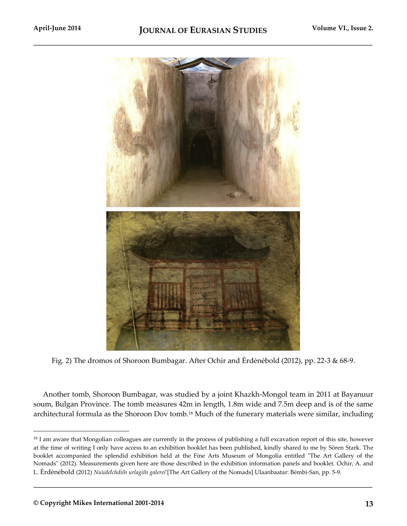

Fig. 2) The dromos of Shoroon Bumbagar. After Ochir and Ėrdėnėbold (2012), pp. 22-3 & 68-9.

Another tomb, Shoroon Bumbagar, was studied by a joint Khazkh-Mongol team in 2011 at Bayanuur soum, Bulgan Province. The tomb measures 42m in length, 1.8m wide and 7.5m deep and is of the same architectural formula as the Shoroon Dov tomb.<sup>18</sup> Much of the funerary materials were similar, including

**\_\_\_\_\_\_\_\_\_\_\_\_\_\_\_\_\_\_\_\_\_\_\_\_\_\_\_\_\_\_\_\_\_\_\_\_\_\_\_\_\_\_\_\_\_\_\_\_\_\_\_\_\_\_\_\_\_\_\_\_\_\_\_\_\_\_\_\_\_\_\_\_\_\_\_\_\_\_\_\_\_\_\_\_\_**

<sup>&</sup>lt;sup>18</sup> I am aware that Mongolian colleagues are currently in the process of publishing a full excavation report of this site, however at the time of writing I only have access to an exhibition booklet has been published, kindly shared to me by Sören Stark. The booklet accompanied the splendid exhibition held at the Fine Arts Museum of Mongolia entitled "The Art Gallery of the Nomads" (2012). Measurements given here are those described in the exhibition information panels and booklet. Ochir, A. and L. Ėrdėnėbold (2012) *Nu u de lchdii n urlagii n galerei* [The Art Gallery of the Nomads] Ulaanbaatar: Bėmbi-San, pp. 5-9.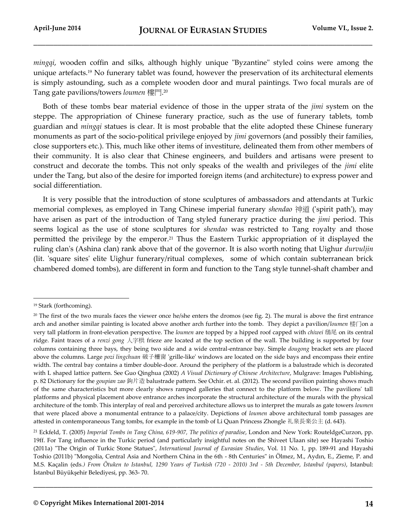*mingqi*, wooden coffin and silks, although highly unique "Byzantine" styled coins were among the unique artefacts.<sup>19</sup> No funerary tablet was found, however the preservation of its architectural elements is simply astounding, such as a complete wooden door and mural paintings. Two focal murals are of Tang gate pavilions/towers *loumen* 樓門. 20

Both of these tombs bear material evidence of those in the upper strata of the *jimi* system on the steppe. The appropriation of Chinese funerary practice, such as the use of funerary tablets, tomb guardian and *mingqi* statues is clear. It is most probable that the elite adopted these Chinese funerary monuments as part of the socio-political privilege enjoyed by *jimi* governors (and possibly their families, close supporters etc.). This, much like other items of investiture, delineated them from other members of their community. It is also clear that Chinese engineers, and builders and artisans were present to construct and decorate the tombs. This not only speaks of the wealth and privileges of the *jimi* elite under the Tang, but also of the desire for imported foreign items (and architecture) to express power and social differentiation.

It is very possible that the introduction of stone sculptures of ambassadors and attendants at Turkic memorial complexes, as employed in Tang Chinese imperial funerary *shendao* 神道 ('spirit path'), may have arisen as part of the introduction of Tang styled funerary practice during the *jimi* period. This seems logical as the use of stone sculptures for *shendao* was restricted to Tang royalty and those permitted the privilege by the emperor.<sup>21</sup> Thus the Eastern Turkic appropriation of it displayed the ruling clan's (Ashina clan) rank above that of the governor. It is also worth noting that Uighur *durvuljin* (lit. 'square sites' elite Uighur funerary/ritual complexes, some of which contain subterranean brick chambered domed tombs), are different in form and function to the Tang style tunnel-shaft chamber and

l

<sup>19</sup> Stark (forthcoming).

<sup>&</sup>lt;sup>20</sup> The first of the two murals faces the viewer once he/she enters the dromos (see fig. 2). The mural is above the first entrance arch and another similar painting is located above another arch further into the tomb. They depict a pavilion/*loumen* 楼门on a very tall platform in front-elevation perspective. The *loumen* are topped by a hipped roof capped with *chiwei* 鴟尾 on its central ridge. Faint traces of a *renzi gong* 人字栱 frieze are located at the top section of the wall. The building is supported by four columns containing three bays, they being two side and a wide central-entrance bay. Simple *dougong* bracket sets are placed above the columns. Large *pozi lingchuan* 破子欞窗 'grille-like' windows are located on the side bays and encompass their entire width. The central bay contains a timber double-door. Around the periphery of the platform is a balustrade which is decorated with L shaped lattice pattern. See Guo Qinghua (2002) *A Visual Dictionary of Chinese Architecture*, Mulgrave: Images Publishing, p. 82 Dictionary for the *goupian zao* 鉤片造 balustrade pattern. See Ochir. et. al. (2012). The second pavilion painting shows much of the same characteristics but more clearly shows ramped galleries that connect to the platform below. The pavilions' tall platforms and physical placement above entrance arches incorporate the structural architecture of the murals with the physical architecture of the tomb. This interplay of real and perceived architecture allows us to interpret the murals as gate towers *loumen* that were placed above a monumental entrance to a palace/city. Depictions of *loumen* above architectural tomb passages are attested in contemporaneous Tang tombs, for example in the tomb of Li Quan Princess Zhongle 礼泉長楽公主 (d. 643).

<sup>21</sup> Eckfeld, T. (2005) *Imperial Tombs in Tang China, 619-907, The politics of paradise*, London and New York: RouteldgeCurzon, pp. 19ff. For Tang influence in the Turkic period (and particularly insightful notes on the Shiveet Ulaan site) see Hayashi Toshio (2011a) "The Origin of Turkic Stone Statues", *International Journal of Eurasian Studies*, Vol. 11 No. 1, pp. 189-91 and Hayashi Toshio (2011b) "Mongolia, Central Asia and Northern China in the 6th - 8th Centuries" in Ölmez, M., Aydın, E., Zieme, P. and M.S. Kaçalin (eds*.) From Ötuken to Istanbul, 1290 Years of Turkish (720 - 2010) 3rd - 5th December, Istanbul (papers)*, Istanbul: İstanbul Büyükşehir Belediyesi, pp. 363- 70.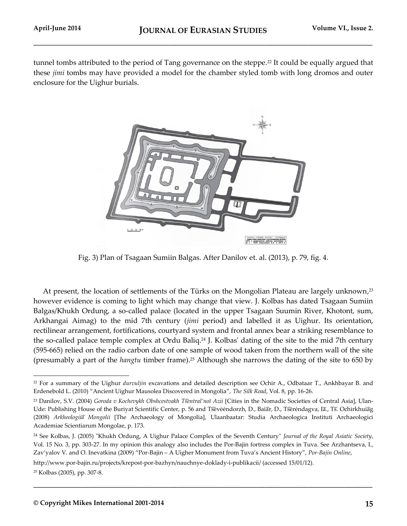tunnel tombs attributed to the period of Tang governance on the steppe.<sup>22</sup> It could be equally argued that these *jimi* tombs may have provided a model for the chamber styled tomb with long dromos and outer enclosure for the Uighur burials.



Fig. 3) Plan of Tsagaan Sumiin Balgas. After Danilov et. al. (2013), p. 79, fig. 4.

At present, the location of settlements of the Türks on the Mongolian Plateau are largely unknown,<sup>23</sup> however evidence is coming to light which may change that view. J. Kolbas has dated Tsagaan Sumiin Balgas/Khukh Ordung, a so-called palace (located in the upper Tsagaan Suumin River, Khotont, sum, Arkhangai Aimag) to the mid 7th century (*jimi* period) and labelled it as Uighur. Its orientation, rectilinear arrangement, fortifications, courtyard system and frontal annex bear a striking resemblance to the so-called palace temple complex at Ordu Baliq.<sup>24</sup> J. Kolbas' dating of the site to the mid 7th century (595-665) relied on the radio carbon date of one sample of wood taken from the northern wall of the site (presumably a part of the *hangtu* timber frame).<sup>25</sup> Although she narrows the dating of the site to 650 by

**\_\_\_\_\_\_\_\_\_\_\_\_\_\_\_\_\_\_\_\_\_\_\_\_\_\_\_\_\_\_\_\_\_\_\_\_\_\_\_\_\_\_\_\_\_\_\_\_\_\_\_\_\_\_\_\_\_\_\_\_\_\_\_\_\_\_\_\_\_\_\_\_\_\_\_\_\_\_\_\_\_\_\_\_\_**

http://www.por-bajin.ru/projects/krepost-por-bazhyn/nauchnye-doklady-i-publikacii/ (accessed 15/01/12).

<sup>22</sup> For a summary of the Uighur *durvuljin* excavations and detailed description see Ochir A., Odbataar T., Ankhbayar B. and Erdenebold L. (2010) "Ancient Uighur Mausolea Discovered in Mongolia", *The Silk Road*, Vol. 8, pp. 16-26.

<sup>23</sup> Danilov, S.V. (2004) *Goroda v Kochevykh Obshcestvakh T sentral'noĭ Azii* [Cities in the Nomadic Societies of Central Asia], Ulan-Ude: Publishing House of the Buriyat Scientific Center, p. 56 and Tsevėendorzh, D., Baiar, D., Tserendagva, Ia., Ts. Ochirkhuiag (2008) *Arkheologii a Mongolii* [The Archaeology of Mongolia], Ulaanbaatar: Studia Archaeologica Instituti Archaeologici Academiae Scientiarum Mongolae, p. 173.

<sup>24</sup> See Kolbas, J. (2005) "Khukh Ordung, A Uighur Palace Complex of the Seventh Century" *Journal of the Royal Asiatic Society*, Vol. 15 No. 3, pp. 303-27. In my opinion this analogy also includes the Por-Bajin fortress complex in Tuva. See Arzhantseva, I., Zav'yalov V. and O. Inevatkina (2009) "Por-Bajin – A Uigher Monument from Tuva's Ancient History", *Por-Bajin Online*,

<sup>25</sup> Kolbas (2005), pp. 307-8.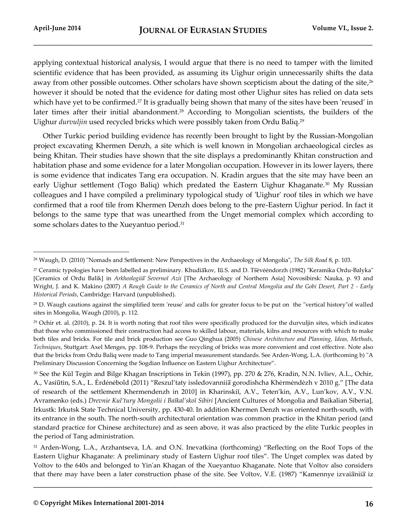l

applying contextual historical analysis, I would argue that there is no need to tamper with the limited scientific evidence that has been provided, as assuming its Uighur origin unnecessarily shifts the data away from other possible outcomes. Other scholars have shown scepticism about the dating of the site,<sup>26</sup> however it should be noted that the evidence for dating most other Uighur sites has relied on data sets which have yet to be confirmed.<sup>27</sup> It is gradually being shown that many of the sites have been 'reused' in later times after their initial abandonment. <sup>28</sup> According to Mongolian scientists, the builders of the Uighur *durvuljin* used recycled bricks which were possibly taken from Ordu Baliq.<sup>29</sup>

Other Turkic period building evidence has recently been brought to light by the Russian-Mongolian project excavating Khermen Denzh, a site which is well known in Mongolian archaeological circles as being Khitan. Their studies have shown that the site displays a predominantly Khitan construction and habitation phase and some evidence for a later Mongolian occupation. However in its lower layers, there is some evidence that indicates Tang era occupation. N. Kradin argues that the site may have been an early Uighur settlement (Togo Baliq) which predated the Eastern Uighur Khaganate.<sup>30</sup> My Russian colleagues and I have compiled a preliminary typological study of 'Uighur' roof tiles in which we have confirmed that a roof tile from Khermen Denzh does belong to the pre-Eastern Uighur period. In fact it belongs to the same type that was unearthed from the Unget memorial complex which according to some scholars dates to the Xueyantuo period.<sup>31</sup>

<sup>26</sup> Waugh, D. (2010) "Nomads and Settlement: New Perspectives in the Archaeology of Mongolia", *The Silk Road* 8, p. 103.

<sup>&</sup>lt;sup>27</sup> Ceramic typologies have been labelled as preliminary. Khudiakov, Iū.S. and D. T sėvė endorzh (1982) "Keramika Ordu-Balyka" [Ceramics of Ordu Balik] in *Arkheologiia* Severnoi Azii [The Archaeology of Northern Asia] Novosibirsk: Nauka, p. 93 and Wright, J. and K. Makino (2007) *A Rough Guide to the Ceramics of North and Central Mongolia and the Gobi Desert, Part 2 - Early Historical Periods*, Cambridge: Harvard (unpublished).

<sup>28</sup> D. Waugh cautions against the simplified term 'reuse' and calls for greater focus to be put on the "vertical history"of walled sites in Mongolia, Waugh (2010), p. 112.

<sup>&</sup>lt;sup>29</sup> Ochir et. al. (2010), p. 24. It is worth noting that roof tiles were specifically produced for the durvuljin sites, which indicates that those who commissioned their construction had access to skilled labour, materials, kilns and resources with which to make both tiles and bricks. For tile and brick production see Guo Qinghua (2005) *Chinese Architecture and Planning, Ideas, Methods, Techniques*, Stuttgart: Axel Menges, pp. 108-9. Perhaps the recycling of bricks was more convenient and cost effective. Note also that the bricks from Ordu Baliq were made to Tang imperial measurement standards. See Arden-Wong, L.A. (forthcoming b) "A Preliminary Discussion Concerning the Sogdian Influence on Eastern Uighur Architecture".

<sup>30</sup> See the Kül Tegin and Bilge Khagan Inscriptions in Tekin (1997), pp. 270 & 276, Kradin, N.N. Ivliev, A.L., Ochir, A., Vasiūtin, S.A., L. Ėrdėnėbold (2011) "Reszul'taty issledovannii a gorodishcha Khėrmėndėzh v 2010 g." [The data of research of the settlement Khermendenzh in 2010] in Kharinskiĭ, A.V., Teten'kin, A.V., Lun'kov, A.V., V.N. Avramenko (eds.) *Drevnie Kul'tury Mongolii i Baĭkal'skoĭ Sibiri* [Ancient Cultures of Mongolia and Baikalian Siberia]*,*  Irkustk: Irkutsk State Technical University, pp. 430-40. In addition Khermen Denzh was oriented north-south, with its entrance in the south. The north-south architectural orientation was common practice in the Khitan period (and standard practice for Chinese architecture) and as seen above, it was also practiced by the elite Turkic peoples in the period of Tang administration.

<sup>31</sup> Arden-Wong, L.A., Arzhantseva, I.A. and O.N. Inevatkina (forthcoming) "Reflecting on the Roof Tops of the Eastern Uighur Khaganate: A preliminary study of Eastern Uighur roof tiles". The Unget complex was dated by Voĭtov to the 640s and belonged to Yinʹan Khagan of the Xueyantuo Khaganate. Note that Voĭtov also considers that there may have been a later construction phase of the site. See Voĭtov, V.E. (1987) "Kamennye izvaianiia iz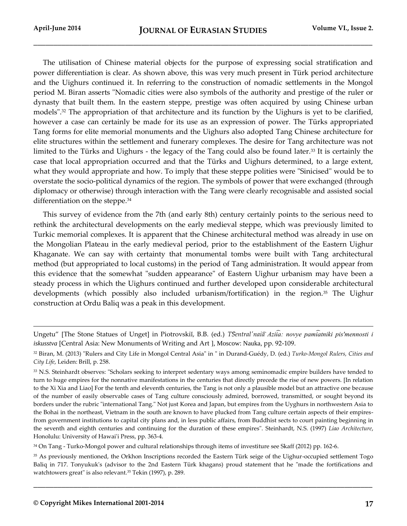l

The utilisation of Chinese material objects for the purpose of expressing social stratification and power differentiation is clear. As shown above, this was very much present in Türk period architecture and the Uighurs continued it. In referring to the construction of nomadic settlements in the Mongol period M. Biran asserts "Nomadic cities were also symbols of the authority and prestige of the ruler or dynasty that built them. In the eastern steppe, prestige was often acquired by using Chinese urban models".<sup>32</sup> The appropriation of that architecture and its function by the Uighurs is yet to be clarified, however a case can certainly be made for its use as an expression of power. The Türks appropriated Tang forms for elite memorial monuments and the Uighurs also adopted Tang Chinese architecture for elite structures within the settlement and funerary complexes. The desire for Tang architecture was not limited to the Türks and Uighurs - the legacy of the Tang could also be found later.<sup>33</sup> It is certainly the case that local appropriation occurred and that the Türks and Uighurs determined, to a large extent, what they would appropriate and how. To imply that these steppe polities were "Sinicised" would be to overstate the socio-political dynamics of the region. The symbols of power that were exchanged (through diplomacy or otherwise) through interaction with the Tang were clearly recognisable and assisted social differentiation on the steppe.<sup>34</sup>

This survey of evidence from the 7th (and early 8th) century certainly points to the serious need to rethink the architectural developments on the early medieval steppe, which was previously limited to Turkic memorial complexes. It is apparent that the Chinese architectural method was already in use on the Mongolian Plateau in the early medieval period, prior to the establishment of the Eastern Uighur Khaganate. We can say with certainty that monumental tombs were built with Tang architectural method (but appropriated to local customs) in the period of Tang administration. It would appear from this evidence that the somewhat "sudden appearance" of Eastern Uighur urbanism may have been a steady process in which the Uighurs continued and further developed upon considerable architectural developments (which possibly also included urbanism/fortification) in the region.<sup>35</sup> The Uighur construction at Ordu Baliq was a peak in this development.

<sup>34</sup> On Tang - Turko-Mongol power and cultural relationships through items of investiture see Skaff (2012) pp. 162-6.

<sup>35</sup> As previously mentioned, the Orkhon Inscriptions recorded the Eastern Türk seige of the Uighur-occupied settlement Togo Baliq in 717. Tonyukuk's (advisor to the 2nd Eastern Türk khagans) proud statement that he "made the fortifications and watchtowers great" is also relevant.<sup>35</sup> Tekin (1997), p. 289.

Ungetu" [The Stone Statues of Unget] in Piotrovskiĭ, B.B. (ed.) *TSentral'naia Aziia: novye pamiatniki pis'mennosti i iskusstva* [Central Asia: New Monuments of Writing and Art ], Moscow: Nauka, pp. 92-109.

<sup>32</sup> Biran, M. (2013) "Rulers and City Life in Mongol Central Asia" in " in Durand-Guédy, D. (ed.) *Turko-Mongol Rulers, Cities and City Life*, Leiden: Brill, p. 258.

<sup>33</sup> N.S. Steinhardt observes: "Scholars seeking to interpret sedentary ways among seminomadic empire builders have tended to turn to huge empires for the nonnative manifestations in the centuries that directly precede the rise of new powers. [In relation to the Xi Xia and Liao] For the tenth and eleventh centuries, the Tang is not only a plausible model but an attractive one because of the number of easily observable cases of Tang culture consciously admired, borrowed, transmitted, or sought beyond its borders under the rubric "international Tang." Not just Korea and Japan, but empires from the Uyghurs in northwestern Asia to the Bohai in the northeast, Vietnam in the south are known to have plucked from Tang culture certain aspects of their empiresfrom government institutions to capital city plans and, in less public affairs, from Buddhist sects to court painting beginning in the seventh and eighth centuries and continuing for the duration of these empires". Steinhardt, N.S. (1997) *Liao Architecture*, Honolulu: University of Hawai'i Press, pp. 363-4.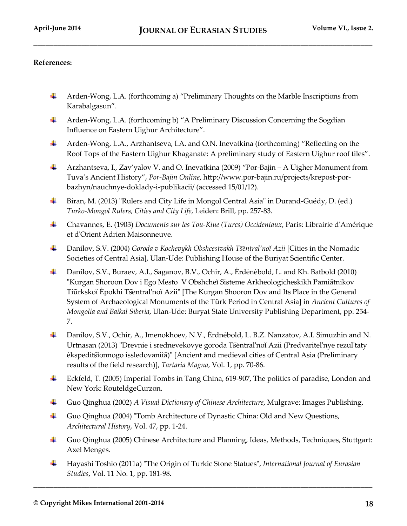## **References:**

- Arden-Wong, L.A. (forthcoming a) "Preliminary Thoughts on the Marble Inscriptions from ₩., Karabalgasun".
- Arden-Wong, L.A. (forthcoming b) "A Preliminary Discussion Concerning the Sogdian Influence on Eastern Uighur Architecture".
- Arden-Wong, L.A., Arzhantseva, I.A. and O.N. Inevatkina (forthcoming) "Reflecting on the ₩., Roof Tops of the Eastern Uighur Khaganate: A preliminary study of Eastern Uighur roof tiles".
- ₩. Arzhantseva, I., Zav'yalov V. and O. Inevatkina (2009) "Por-Bajin – A Uigher Monument from Tuva's Ancient History", *Por-Bajin Online*, http://www.por-bajin.ru/projects/krepost-porbazhyn/nauchnye-doklady-i-publikacii/ (accessed 15/01/12).
- Biran, M. (2013) "Rulers and City Life in Mongol Central Asia" in Durand-Guédy, D. (ed.) — — *Turko-Mongol Rulers, Cities and City Life*, Leiden: Brill, pp. 257-83.
- Chavannes, E. (1903) *Documents sur les Tou-Kiue (Turcs) Occidentaux*, Paris: Librairie d'Amérique et d'Orient Adrien Maisonneuve.
- ₩., Danilov, S.V. (2004) *Goroda v Kochevykh Obshcestvakh T sentral'noĭ Azii* [Cities in the Nomadic Societies of Central Asia], Ulan-Ude: Publishing House of the Buriyat Scientific Center.
- Danilov, S.V., Buraev, А.I., Saganov, B.V., Ochir, А., Ėrdėnėbold, L. and Kh. Batbold (2010) ₩. "Kurgan Shoroon Dov i Ego Mesto V Obshcheĭ Sisteme Arkheologicheskikh Pamiatnikov Tiūrkskoĭ Ėpokhi Tsentral'noĭ Azii" [The Kurgan Shooron Dov and Its Place in the General System of Archaeological Monuments of the Türk Period in Central Asia] in *Ancient Cultures of Mongolia and Baikal Siberia*, Ulan-Ude: Buryat State University Publishing Department, pp. 254- 7.
- Danilov, S.V., Ochir, А., Imenokhoev, N.V., Ėrdnėbold, L. B.Z. Nanzatov, А.I. Simuzhin and N. — — Urtnasan (2013) "Drevnie i srednevekovye goroda Tsentral'noĭ Azii (Predvaritel'nye rezul'taty ekspeditsionnogo issledovanii a)" [Ancient and medieval cities of Central Asia (Preliminary results of the field research)], *Tartaria Magna*, Vol. 1, pp. 70-86.
- ₩., Eckfeld, T. (2005) Imperial Tombs in Tang China, 619-907, The politics of paradise, London and New York: RouteldgeCurzon.
- ┻ Guo Qinghua (2002) *A Visual Dictionary of Chinese Architecture*, Mulgrave: Images Publishing.
- Guo Qinghua (2004) "Tomb Architecture of Dynastic China: Old and New Questions, *Architectural History*, Vol. 47, pp. 1-24.
- Guo Qinghua (2005) Chinese Architecture and Planning, Ideas, Methods, Techniques, Stuttgart: Axel Menges.
- Hayashi Toshio (2011a) "The Origin of Turkic Stone Statues", *International Journal of Eurasian Studies*, Vol. 11 No. 1, pp. 181-98.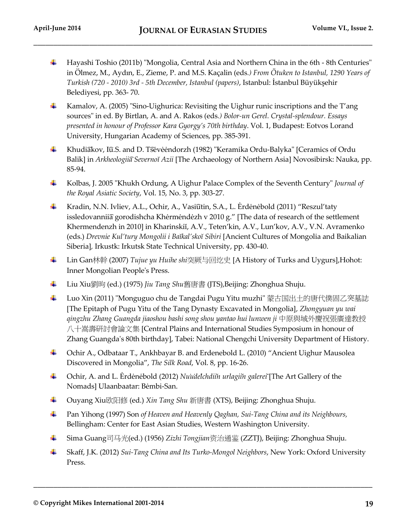- ₩. Hayashi Toshio (2011b) "Mongolia, Central Asia and Northern China in the 6th - 8th Centuries" in Ölmez, M., Aydın, E., Zieme, P. and M.S. Kaçalin (eds*.) From Ötuken to Istanbul, 1290 Years of Turkish (720 - 2010) 3rd - 5th December, Istanbul (papers)*, Istanbul: İstanbul Büyükşehir Belediyesi, pp. 363- 70.
- Kamalov, A. (2005) "Sino-Uighurica: Revisiting the Uighur runic inscriptions and the T'ang sources" in ed. By Birtlan, A. and A. Rakos (eds*.) Bolor-un Gerel. Crystal-splendour. Essays presented in honour of Professor Kara Gyorgy's 70th birthday*. Vol. 1, Budapest: Eotvos Lorand University, Hungarian Academy of Sciences, pp. 385-391.
- ↓ Khudiakov, Iū.S. and D. Tsėvėėndorzh (1982) "Keramika Ordu-Balyka" [Ceramics of Ordu Balik] in *Arkheologiia Severnoĭ Azii* [The Archaeology of Northern Asia] Novosibirsk: Nauka, pp. 85-94.
- Kolbas, J. 2005 "Khukh Ordung, A Uighur Palace Complex of the Seventh Century" *Journal of the Royal Asiatic Society*, Vol. 15, No. 3, pp. 303-27.
- **Kradin, N.N. Ivliev, A.L., Ochir, A., Vasi** $\hat{u}$ **tin, S.A., L. Ėrdėnėbold (2011) "Reszul'taty** issledovannii a gorodishcha Khėrmėndėzh v 2010 g." [The data of research of the settlement Khermendenzh in 2010] in Kharinskiĭ, A.V., Teten'kin, A.V., Lun'kov, A.V., V.N. Avramenko (eds.) *Drevnie Kul'tury Mongolii i Baĭkal'skoĭ Sibiri* [Ancient Cultures of Mongolia and Baikalian Siberia]*,* Irkustk: Irkutsk State Technical University, pp. 430-40.
- Lin Gan林幹 (2007) *Tujue yu Huihe shi*突厥与回纥史 [A History of Turks and Uygurs],Hohot: Inner Mongolian People's Press.
- ₩. Liu Xiu劉昫 (ed.) (1975) *Jiu Tang Shu*舊唐書 (JTS),Beijing: Zhonghua Shuju.
- ۰. Luo Xin (2011) "Monguguo chu de Tangdai Pugu Yitu muzhi" 蒙古国出土的唐代僕固乙突墓誌 [The Epitaph of Pugu Yitu of the Tang Dynasty Excavated in Mongolia], *Zhongyuan yu wai qingzhu Zhang Guangda jiaoshou bashi song shou yantao hui lunwen ji* 中原與域外慶祝張廣達教授 八十嵩壽研討會論文集 [Central Plains and International Studies Symposium in honour of Zhang Guangda's 80th birthday], Tabei: National Chengchi University Department of History.
- Ochir A., Odbataar T., Ankhbayar B. and Erdenebold L. (2010) "Ancient Uighur Mausolea Discovered in Mongolia", *The Silk Road*, Vol. 8, pp. 16-26.
- <sup> $\pm$ </sup> Ochir, A. and L. Erdenebold (2012) *Nuidelchdiin urlagiin galerei* [The Art Gallery of the Nomads] Ulaanbaatar: Bėmbi-San.
- Ouyang Xiu欧阳修 (ed.) *Xin Tang Shu* 新唐書 (XTS), Beijing: Zhonghua Shuju. ۰.
- ۰. Pan Yihong (1997) Son *of Heaven and Heavenly Qaghan, Sui-Tang China and its Neighbours,*  Bellingham: Center for East Asian Studies, Western Washington University.
- ۰. Sima Guang司马光(ed.) (1956) *Zizhi Tongjian*资治通鉴 (ZZTJ), Beijing: Zhonghua Shuju.
- ۰. Skaff, J.K. (2012) *Sui-Tang China and Its Turko-Mongol Neighbors*, New York: Oxford University Press.